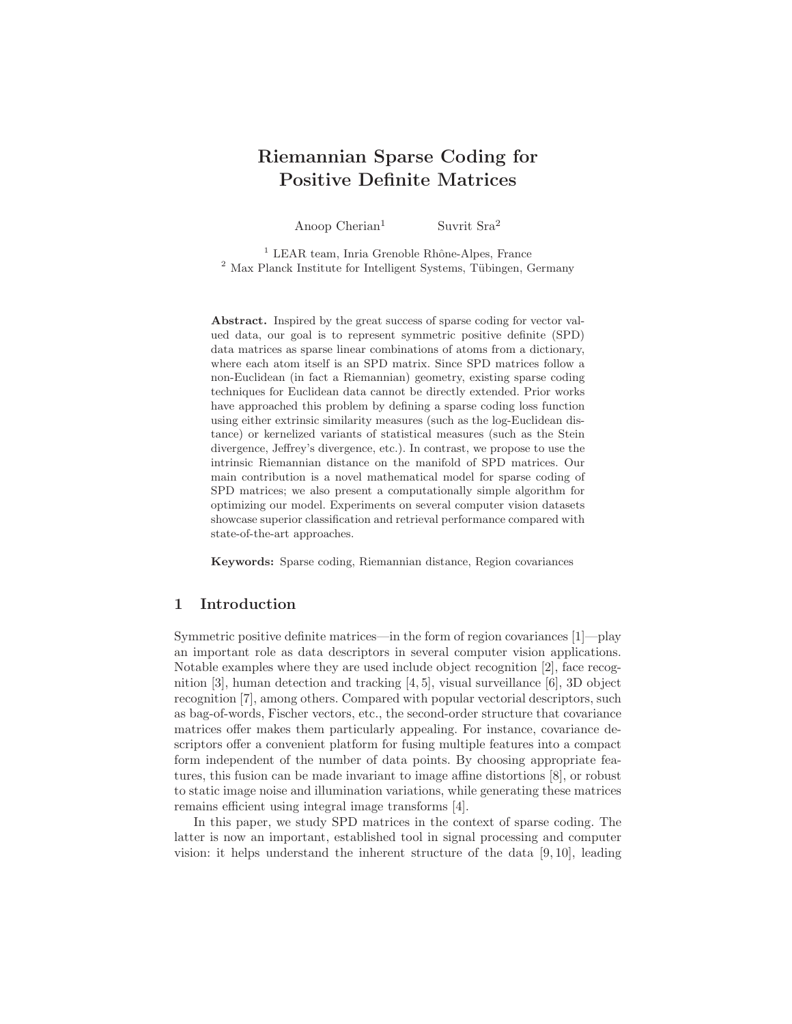# Riemannian Sparse Coding for Positive Definite Matrices

Anoop Cherian<sup>1</sup> Suvrit Sra<sup>2</sup>

 $1$  LEAR team, Inria Grenoble Rhône-Alpes, France  $2$  Max Planck Institute for Intelligent Systems, Tübingen, Germany

Abstract. Inspired by the great success of sparse coding for vector valued data, our goal is to represent symmetric positive definite (SPD) data matrices as sparse linear combinations of atoms from a dictionary, where each atom itself is an SPD matrix. Since SPD matrices follow a non-Euclidean (in fact a Riemannian) geometry, existing sparse coding techniques for Euclidean data cannot be directly extended. Prior works have approached this problem by defining a sparse coding loss function using either extrinsic similarity measures (such as the log-Euclidean distance) or kernelized variants of statistical measures (such as the Stein divergence, Jeffrey's divergence, etc.). In contrast, we propose to use the intrinsic Riemannian distance on the manifold of SPD matrices. Our main contribution is a novel mathematical model for sparse coding of SPD matrices; we also present a computationally simple algorithm for optimizing our model. Experiments on several computer vision datasets showcase superior classification and retrieval performance compared with state-of-the-art approaches.

Keywords: Sparse coding, Riemannian distance, Region covariances

# 1 Introduction

Symmetric positive definite matrices—in the form of region covariances [1]—play an important role as data descriptors in several computer vision applications. Notable examples where they are used include object recognition [2], face recognition [3], human detection and tracking [4, 5], visual surveillance [6], 3D object recognition [7], among others. Compared with popular vectorial descriptors, such as bag-of-words, Fischer vectors, etc., the second-order structure that covariance matrices offer makes them particularly appealing. For instance, covariance descriptors offer a convenient platform for fusing multiple features into a compact form independent of the number of data points. By choosing appropriate features, this fusion can be made invariant to image affine distortions [8], or robust to static image noise and illumination variations, while generating these matrices remains efficient using integral image transforms [4].

In this paper, we study SPD matrices in the context of sparse coding. The latter is now an important, established tool in signal processing and computer vision: it helps understand the inherent structure of the data [9, 10], leading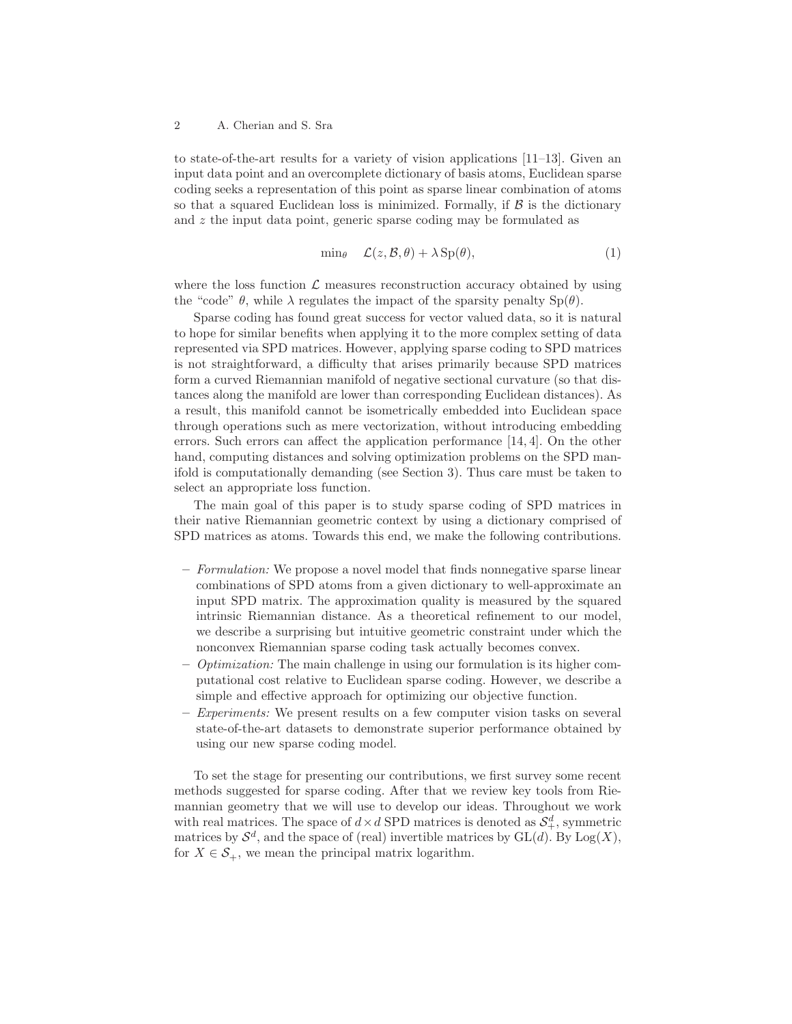to state-of-the-art results for a variety of vision applications [11–13]. Given an input data point and an overcomplete dictionary of basis atoms, Euclidean sparse coding seeks a representation of this point as sparse linear combination of atoms so that a squared Euclidean loss is minimized. Formally, if  $\beta$  is the dictionary and z the input data point, generic sparse coding may be formulated as

$$
\min_{\theta} \quad \mathcal{L}(z, \mathcal{B}, \theta) + \lambda \, \text{Sp}(\theta), \tag{1}
$$

where the loss function  $\mathcal L$  measures reconstruction accuracy obtained by using the "code"  $\theta$ , while  $\lambda$  regulates the impact of the sparsity penalty  $Sp(\theta)$ .

Sparse coding has found great success for vector valued data, so it is natural to hope for similar benefits when applying it to the more complex setting of data represented via SPD matrices. However, applying sparse coding to SPD matrices is not straightforward, a difficulty that arises primarily because SPD matrices form a curved Riemannian manifold of negative sectional curvature (so that distances along the manifold are lower than corresponding Euclidean distances). As a result, this manifold cannot be isometrically embedded into Euclidean space through operations such as mere vectorization, without introducing embedding errors. Such errors can affect the application performance [14, 4]. On the other hand, computing distances and solving optimization problems on the SPD manifold is computationally demanding (see Section 3). Thus care must be taken to select an appropriate loss function.

The main goal of this paper is to study sparse coding of SPD matrices in their native Riemannian geometric context by using a dictionary comprised of SPD matrices as atoms. Towards this end, we make the following contributions.

- *Formulation:* We propose a novel model that finds nonnegative sparse linear combinations of SPD atoms from a given dictionary to well-approximate an input SPD matrix. The approximation quality is measured by the squared intrinsic Riemannian distance. As a theoretical refinement to our model, we describe a surprising but intuitive geometric constraint under which the nonconvex Riemannian sparse coding task actually becomes convex.
- *Optimization:* The main challenge in using our formulation is its higher computational cost relative to Euclidean sparse coding. However, we describe a simple and effective approach for optimizing our objective function.
- *Experiments:* We present results on a few computer vision tasks on several state-of-the-art datasets to demonstrate superior performance obtained by using our new sparse coding model.

To set the stage for presenting our contributions, we first survey some recent methods suggested for sparse coding. After that we review key tools from Riemannian geometry that we will use to develop our ideas. Throughout we work with real matrices. The space of  $d \times d$  SPD matrices is denoted as  $\mathcal{S}_{+}^{d}$ , symmetric matrices by  $\mathcal{S}^d$ , and the space of (real) invertible matrices by  $GL(d)$ . By  $Log(X)$ , for  $X \in \mathcal{S}_+$ , we mean the principal matrix logarithm.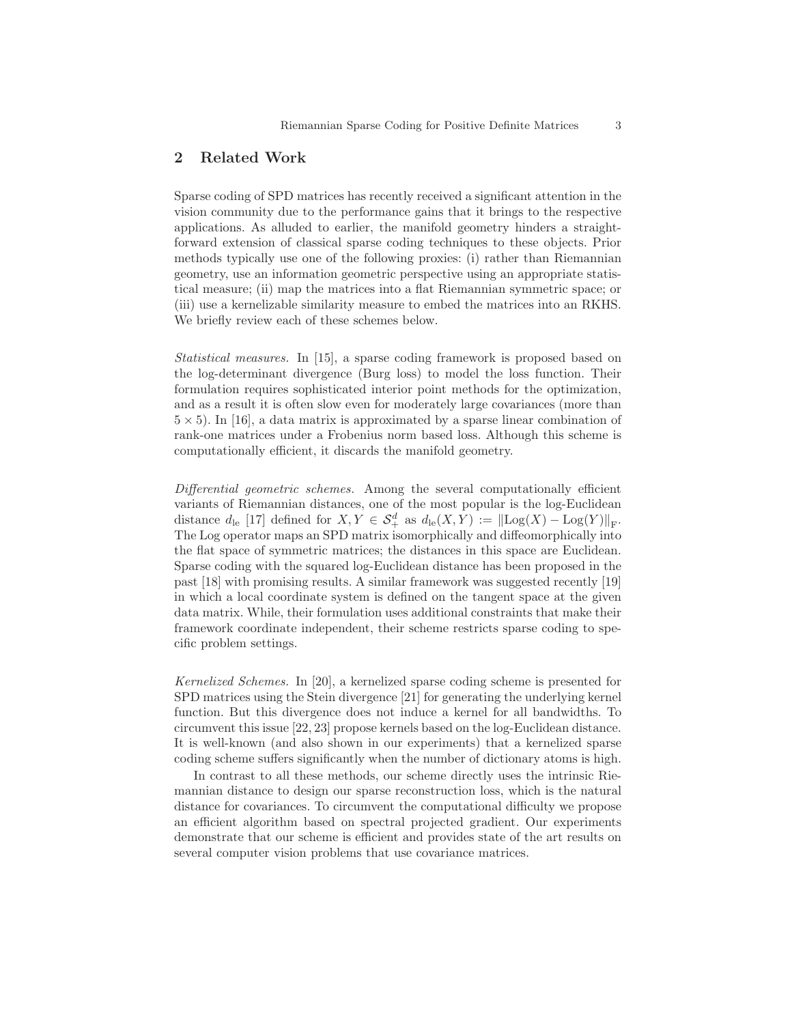## 2 Related Work

Sparse coding of SPD matrices has recently received a significant attention in the vision community due to the performance gains that it brings to the respective applications. As alluded to earlier, the manifold geometry hinders a straightforward extension of classical sparse coding techniques to these objects. Prior methods typically use one of the following proxies: (i) rather than Riemannian geometry, use an information geometric perspective using an appropriate statistical measure; (ii) map the matrices into a flat Riemannian symmetric space; or (iii) use a kernelizable similarity measure to embed the matrices into an RKHS. We briefly review each of these schemes below.

*Statistical measures.* In [15], a sparse coding framework is proposed based on the log-determinant divergence (Burg loss) to model the loss function. Their formulation requires sophisticated interior point methods for the optimization, and as a result it is often slow even for moderately large covariances (more than  $5 \times 5$ ). In [16], a data matrix is approximated by a sparse linear combination of rank-one matrices under a Frobenius norm based loss. Although this scheme is computationally efficient, it discards the manifold geometry.

*Differential geometric schemes.* Among the several computationally efficient variants of Riemannian distances, one of the most popular is the log-Euclidean distance  $d_{le}$  [17] defined for  $X, Y \in S^d_+$  as  $d_{le}(X, Y) := ||Log(X) - Log(Y)||_F$ . The Log operator maps an SPD matrix isomorphically and diffeomorphically into the flat space of symmetric matrices; the distances in this space are Euclidean. Sparse coding with the squared log-Euclidean distance has been proposed in the past [18] with promising results. A similar framework was suggested recently [19] in which a local coordinate system is defined on the tangent space at the given data matrix. While, their formulation uses additional constraints that make their framework coordinate independent, their scheme restricts sparse coding to specific problem settings.

*Kernelized Schemes.* In [20], a kernelized sparse coding scheme is presented for SPD matrices using the Stein divergence [21] for generating the underlying kernel function. But this divergence does not induce a kernel for all bandwidths. To circumvent this issue [22, 23] propose kernels based on the log-Euclidean distance. It is well-known (and also shown in our experiments) that a kernelized sparse coding scheme suffers significantly when the number of dictionary atoms is high.

In contrast to all these methods, our scheme directly uses the intrinsic Riemannian distance to design our sparse reconstruction loss, which is the natural distance for covariances. To circumvent the computational difficulty we propose an efficient algorithm based on spectral projected gradient. Our experiments demonstrate that our scheme is efficient and provides state of the art results on several computer vision problems that use covariance matrices.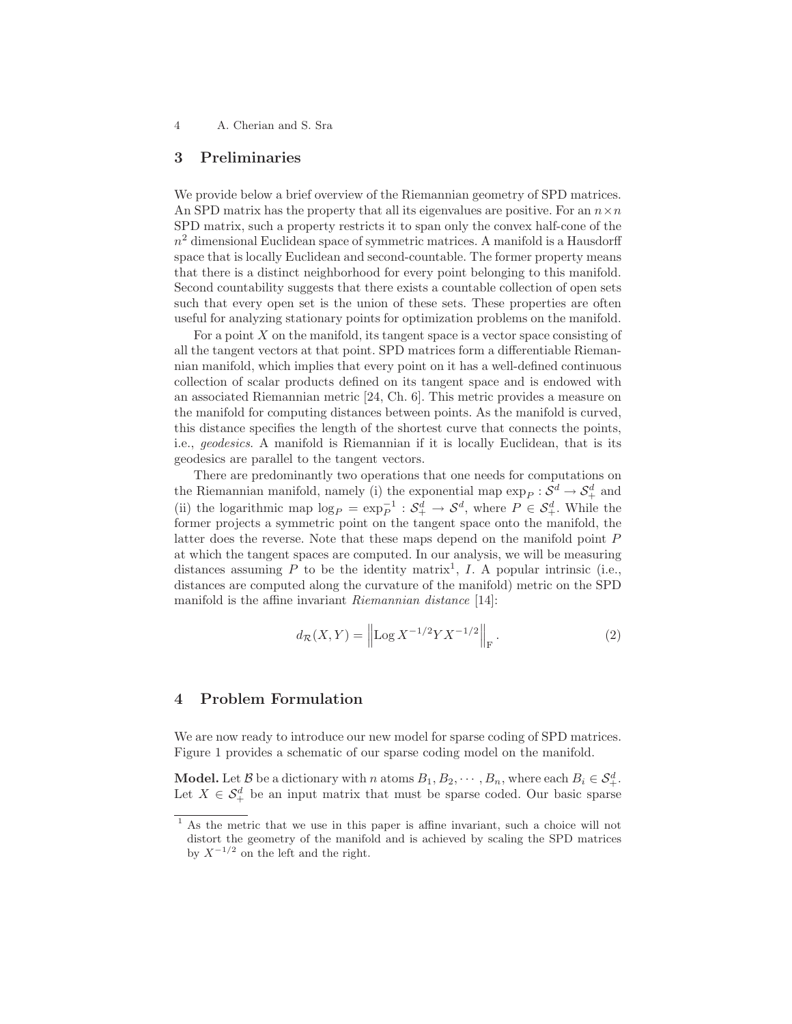### 3 Preliminaries

We provide below a brief overview of the Riemannian geometry of SPD matrices. An SPD matrix has the property that all its eigenvalues are positive. For an  $n \times n$ SPD matrix, such a property restricts it to span only the convex half-cone of the  $n<sup>2</sup>$  dimensional Euclidean space of symmetric matrices. A manifold is a Hausdorff space that is locally Euclidean and second-countable. The former property means that there is a distinct neighborhood for every point belonging to this manifold. Second countability suggests that there exists a countable collection of open sets such that every open set is the union of these sets. These properties are often useful for analyzing stationary points for optimization problems on the manifold.

For a point  $X$  on the manifold, its tangent space is a vector space consisting of all the tangent vectors at that point. SPD matrices form a differentiable Riemannian manifold, which implies that every point on it has a well-defined continuous collection of scalar products defined on its tangent space and is endowed with an associated Riemannian metric [24, Ch. 6]. This metric provides a measure on the manifold for computing distances between points. As the manifold is curved, this distance specifies the length of the shortest curve that connects the points, i.e., *geodesics*. A manifold is Riemannian if it is locally Euclidean, that is its geodesics are parallel to the tangent vectors.

There are predominantly two operations that one needs for computations on the Riemannian manifold, namely (i) the exponential map  $\exp_P : S^d \to S^d_+$  and (ii) the logarithmic map  $log_P = exp_P^{-1}$ :  $S_+^d \rightarrow S^d$ , where  $P \in S_+^d$ . While the former projects a symmetric point on the tangent space onto the manifold, the latter does the reverse. Note that these maps depend on the manifold point P at which the tangent spaces are computed. In our analysis, we will be measuring distances assuming  $P$  to be the identity matrix<sup>1</sup>,  $I$ . A popular intrinsic (i.e., distances are computed along the curvature of the manifold) metric on the SPD manifold is the affine invariant *Riemannian distance* [14]:

$$
d_{\mathcal{R}}(X,Y) = \left\| \text{Log } X^{-1/2} Y X^{-1/2} \right\|_{\text{F}}.
$$
 (2)

### 4 Problem Formulation

We are now ready to introduce our new model for sparse coding of SPD matrices. Figure 1 provides a schematic of our sparse coding model on the manifold.

**Model.** Let B be a dictionary with n atoms  $B_1, B_2, \dots, B_n$ , where each  $B_i \in S^d_+$ . Let  $X \in \mathcal{S}_+^d$  be an input matrix that must be sparse coded. Our basic sparse

<sup>1</sup> As the metric that we use in this paper is affine invariant, such a choice will not distort the geometry of the manifold and is achieved by scaling the SPD matrices by  $X^{-1/2}$  on the left and the right.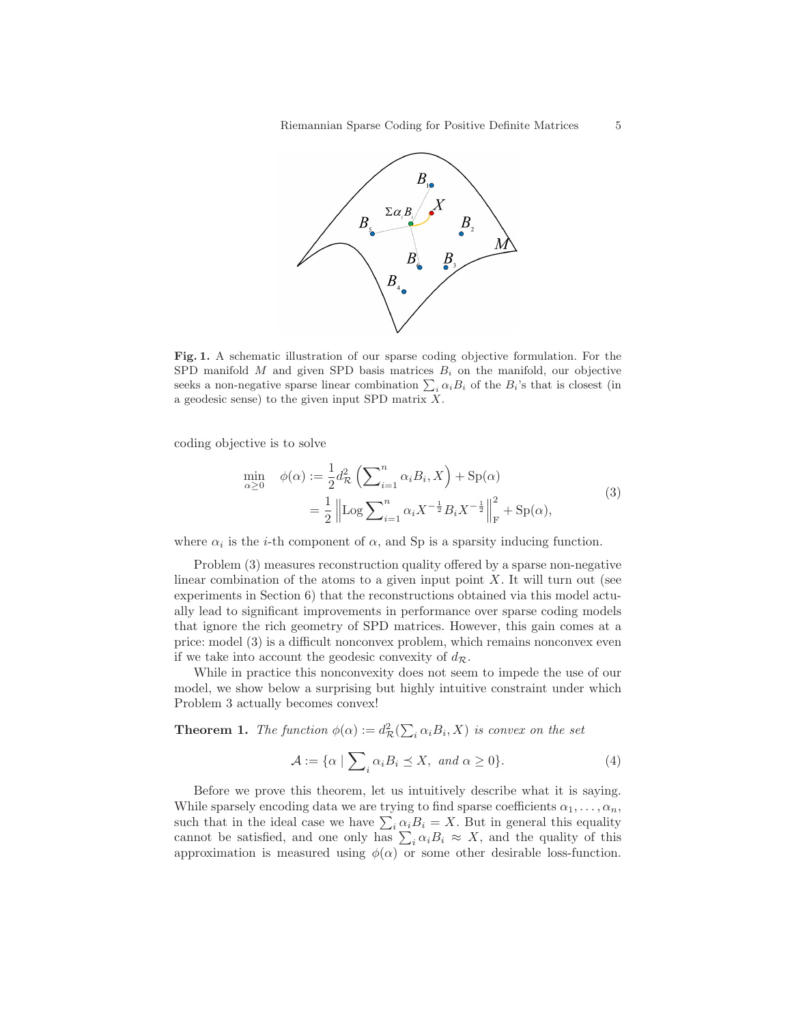

Fig. 1. A schematic illustration of our sparse coding objective formulation. For the SPD manifold  $M$  and given SPD basis matrices  $B_i$  on the manifold, our objective seeks a non-negative sparse linear combination  $\sum_i \alpha_i B_i$  of the  $B_i$ 's that is closest (in a geodesic sense) to the given input SPD matrix  $\overline{X}$ .

coding objective is to solve

$$
\min_{\alpha \ge 0} \quad \phi(\alpha) := \frac{1}{2} d_{\mathcal{R}}^2 \left( \sum_{i=1}^n \alpha_i B_i, X \right) + \text{Sp}(\alpha) \n= \frac{1}{2} \left\| \text{Log} \sum_{i=1}^n \alpha_i X^{-\frac{1}{2}} B_i X^{-\frac{1}{2}} \right\|_{\text{F}}^2 + \text{Sp}(\alpha),
$$
\n(3)

where  $\alpha_i$  is the *i*-th component of  $\alpha$ , and Sp is a sparsity inducing function.

Problem (3) measures reconstruction quality offered by a sparse non-negative linear combination of the atoms to a given input point  $X$ . It will turn out (see experiments in Section 6) that the reconstructions obtained via this model actually lead to significant improvements in performance over sparse coding models that ignore the rich geometry of SPD matrices. However, this gain comes at a price: model (3) is a difficult nonconvex problem, which remains nonconvex even if we take into account the geodesic convexity of  $d_{\mathcal{R}}$ .

While in practice this nonconvexity does not seem to impede the use of our model, we show below a surprising but highly intuitive constraint under which Problem 3 actually becomes convex!

**Theorem 1.** *The function*  $\phi(\alpha) := d^2_{\mathcal{R}}(\sum_i \alpha_i B_i, X)$  *is convex on the set* 

$$
\mathcal{A} := \{ \alpha \mid \sum_{i} \alpha_{i} B_{i} \preceq X, \text{ and } \alpha \ge 0 \}. \tag{4}
$$

Before we prove this theorem, let us intuitively describe what it is saying. While sparsely encoding data we are trying to find sparse coefficients  $\alpha_1, \ldots, \alpha_n$ , such that in the ideal case we have  $\sum_i \alpha_i B_i = X$ . But in general this equality cannot be satisfied, and one only has  $\sum_i \alpha_i B_i \approx X$ , and the quality of this approximation is measured using  $\phi(\alpha)$  or some other desirable loss-function.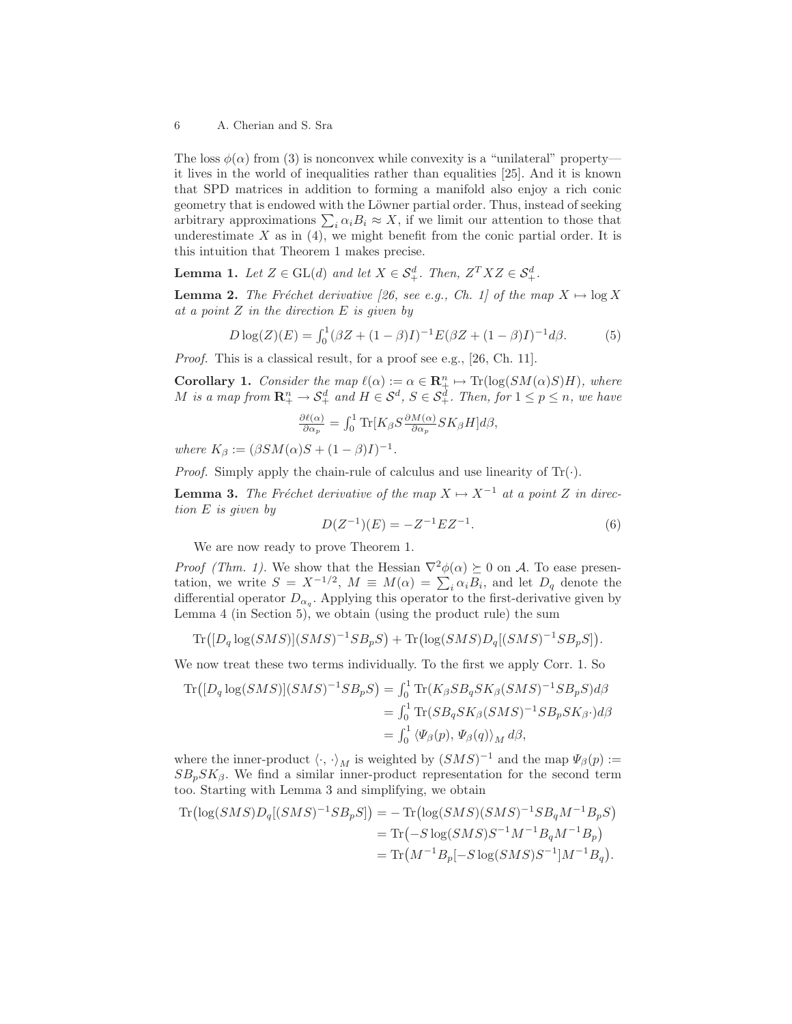The loss  $\phi(\alpha)$  from (3) is nonconvex while convexity is a "unilateral" property it lives in the world of inequalities rather than equalities [25]. And it is known that SPD matrices in addition to forming a manifold also enjoy a rich conic geometry that is endowed with the Löwner partial order. Thus, instead of seeking arbitrary approximations  $\sum_i \alpha_i B_i \approx X$ , if we limit our attention to those that underestimate  $X$  as in (4), we might benefit from the conic partial order. It is this intuition that Theorem 1 makes precise.

**Lemma 1.** Let  $Z \in GL(d)$  and let  $X \in S^d_+$ . Then,  $Z^T X Z \in S^d_+$ .

**Lemma 2.** *The Fréchet derivative [26, see e.g., Ch. 1] of the map*  $X \mapsto \log X$ *at a point* Z *in the direction* E *is given by*

$$
D\log(Z)(E) = \int_0^1 (\beta Z + (1-\beta)I)^{-1} E(\beta Z + (1-\beta)I)^{-1} d\beta.
$$
 (5)

*Proof.* This is a classical result, for a proof see e.g., [26, Ch. 11].

**Corollary 1.** *Consider the map*  $\ell(\alpha) := \alpha \in \mathbb{R}^n_+ \mapsto \text{Tr}(\log(SM(\alpha)S)H)$ *, where*  $M$  *is a map from*  $\mathbb{R}^n_+ \to \mathcal{S}^d_+$  *and*  $H \in \mathcal{S}^d$ ,  $S \in \mathcal{S}^d_+$ . Then, for  $1 \leq p \leq n$ , we have

$$
\frac{\partial \ell(\alpha)}{\partial \alpha_p} = \int_0^1 \text{Tr}[K_{\beta} S \frac{\partial M(\alpha)}{\partial \alpha_p} S K_{\beta} H] d\beta,
$$

*where*  $K_{\beta} := (\beta SM(\alpha)S + (1 - \beta)I)^{-1}$ *.* 

*Proof.* Simply apply the chain-rule of calculus and use linearity of  $Tr(\cdot)$ .

**Lemma 3.** The Fréchet derivative of the map  $X \mapsto X^{-1}$  at a point Z in direc*tion* E *is given by*

$$
D(Z^{-1})(E) = -Z^{-1}EZ^{-1}.
$$
\n(6)

We are now ready to prove Theorem 1.

*Proof (Thm. 1).* We show that the Hessian  $\nabla^2 \phi(\alpha) \succeq 0$  on A. To ease presentation, we write  $S = X^{-1/2}$ ,  $M \equiv M(\alpha) = \sum_i \alpha_i B_i$ , and let  $D_q$  denote the differential operator  $D_{\alpha_q}$ . Applying this operator to the first-derivative given by Lemma 4 (in Section 5), we obtain (using the product rule) the sum

$$
\text{Tr}([D_q \log(SMS)](SMS)^{-1}SB_pS) + \text{Tr}(\log(SMS)D_q[(SMS)^{-1}SB_pS]).
$$

We now treat these two terms individually. To the first we apply Corr. 1. So

$$
\begin{aligned} \text{Tr}\big( [D_q \log(SMS)](SMS)^{-1}SB_pS \big) &= \int_0^1 \text{Tr}(K_\beta SB_q SK_\beta(SMS)^{-1}SB_p S) d\beta \\ &= \int_0^1 \text{Tr}(SB_q SK_\beta(SMS)^{-1}SB_p SK_\beta \cdot) d\beta \\ &= \int_0^1 \langle \Psi_\beta(p), \Psi_\beta(q) \rangle_M d\beta, \end{aligned}
$$

where the inner-product  $\langle \cdot, \cdot \rangle_M$  is weighted by  $(SMS)^{-1}$  and the map  $\Psi_\beta(p) :=$  $SB_p SK_\beta$ . We find a similar inner-product representation for the second term too. Starting with Lemma 3 and simplifying, we obtain

$$
\begin{aligned} \text{Tr} \big( \log(SMS) D_q [(SMS)^{-1} S B_p S] \big) &= -\text{Tr} \big( \log(SMS)(SMS)^{-1} S B_q M^{-1} B_p S \big) \\ &= \text{Tr} \big( -S \log(SMS) S^{-1} M^{-1} B_q M^{-1} B_p \big) \\ &= \text{Tr} \big( M^{-1} B_p [-S \log(SMS) S^{-1}] M^{-1} B_q \big). \end{aligned}
$$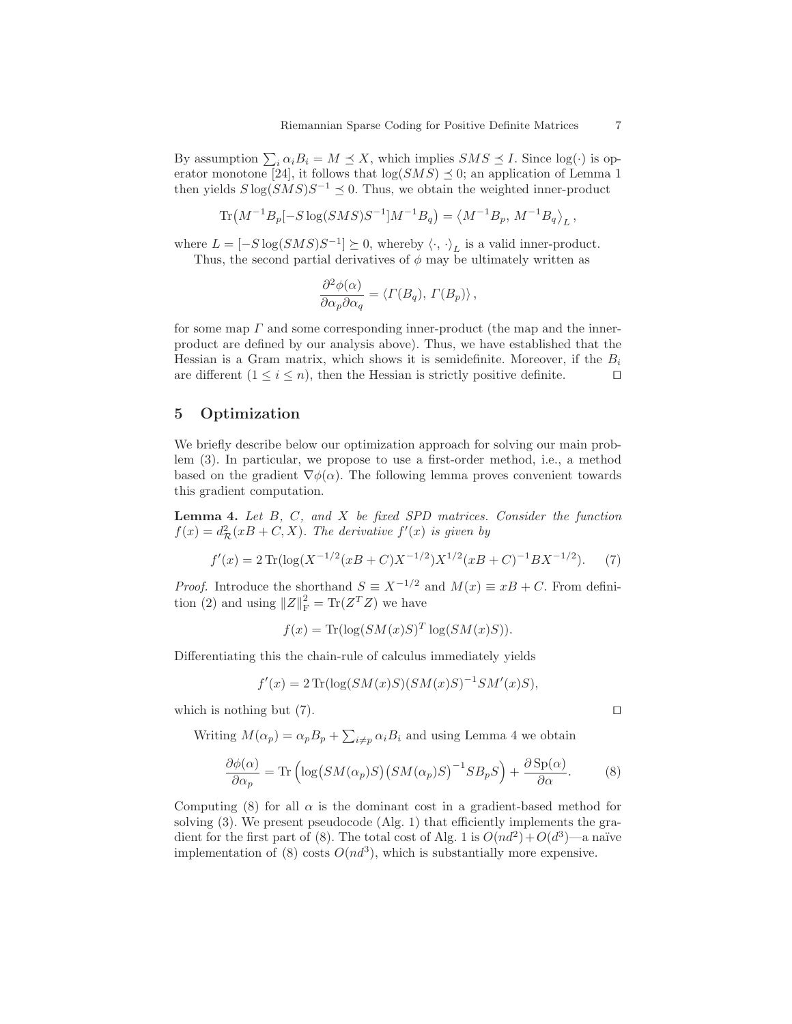By assumption  $\sum_i \alpha_i B_i = M \preceq X$ , which implies  $SMS \preceq I$ . Since  $\log(\cdot)$  is operator monotone [24], it follows that  $\log(SMS) \preceq 0$ ; an application of Lemma 1 then yields  $S \log(SMS)S^{-1} \preceq 0$ . Thus, we obtain the weighted inner-product

$$
\text{Tr}\left(M^{-1}B_p[-S\log(SMS)S^{-1}]M^{-1}B_q\right) = \left\langle M^{-1}B_p, M^{-1}B_q\right\rangle_L,
$$

where  $L = [-S \log(SMS)S^{-1}] \succeq 0$ , whereby  $\langle \cdot, \cdot \rangle_L$  is a valid inner-product. Thus, the second partial derivatives of  $\phi$  may be ultimately written as

$$
\frac{\partial^2 \phi(\alpha)}{\partial \alpha_p \partial \alpha_q} = \langle \Gamma(B_q), \, \Gamma(B_p) \rangle \,,
$$

for some map  $\Gamma$  and some corresponding inner-product (the map and the innerproduct are defined by our analysis above). Thus, we have established that the Hessian is a Gram matrix, which shows it is semidefinite. Moreover, if the  $B_i$ are different  $(1 \leq i \leq n)$ , then the Hessian is strictly positive definite. □

## 5 Optimization

We briefly describe below our optimization approach for solving our main problem (3). In particular, we propose to use a first-order method, i.e., a method based on the gradient  $\nabla \phi(\alpha)$ . The following lemma proves convenient towards this gradient computation.

Lemma 4. *Let* B*,* C*, and* X *be fixed SPD matrices. Consider the function*  $f(x) = d^2_{\mathcal{R}}(xB + C, X)$ . The derivative  $f'(x)$  is given by

$$
f'(x) = 2\operatorname{Tr}(\log(X^{-1/2}(xB+C)X^{-1/2})X^{1/2}(xB+C)^{-1}BX^{-1/2}).
$$
 (7)

*Proof.* Introduce the shorthand  $S \equiv X^{-1/2}$  and  $M(x) \equiv xB + C$ . From definition (2) and using  $||Z||_F^2 = \text{Tr}(Z^T Z)$  we have

$$
f(x) = \text{Tr}(\log(SM(x)S)^T \log(SM(x)S)).
$$

Differentiating this the chain-rule of calculus immediately yields

$$
f'(x) = 2 \operatorname{Tr}(\log(SM(x)S)(SM(x)S)^{-1}SM'(x)S),
$$

which is nothing but  $(7)$ . □

Writing  $M(\alpha_p) = \alpha_p B_p + \sum_{i \neq p} \alpha_i B_i$  and using Lemma 4 we obtain

$$
\frac{\partial \phi(\alpha)}{\partial \alpha_p} = \text{Tr}\left(\log(SM(\alpha_p)S)\left(SM(\alpha_p)S\right)^{-1}SB_pS\right) + \frac{\partial \text{Sp}(\alpha)}{\partial \alpha}.\tag{8}
$$

Computing (8) for all  $\alpha$  is the dominant cost in a gradient-based method for solving  $(3)$ . We present pseudocode  $(Alg. 1)$  that efficiently implements the gradient for the first part of (8). The total cost of Alg. 1 is  $O(nd^2) + O(d^3)$ —a naïve implementation of (8) costs  $O(nd^3)$ , which is substantially more expensive.

$$
\mathsf{L}^{\mathsf{L}}
$$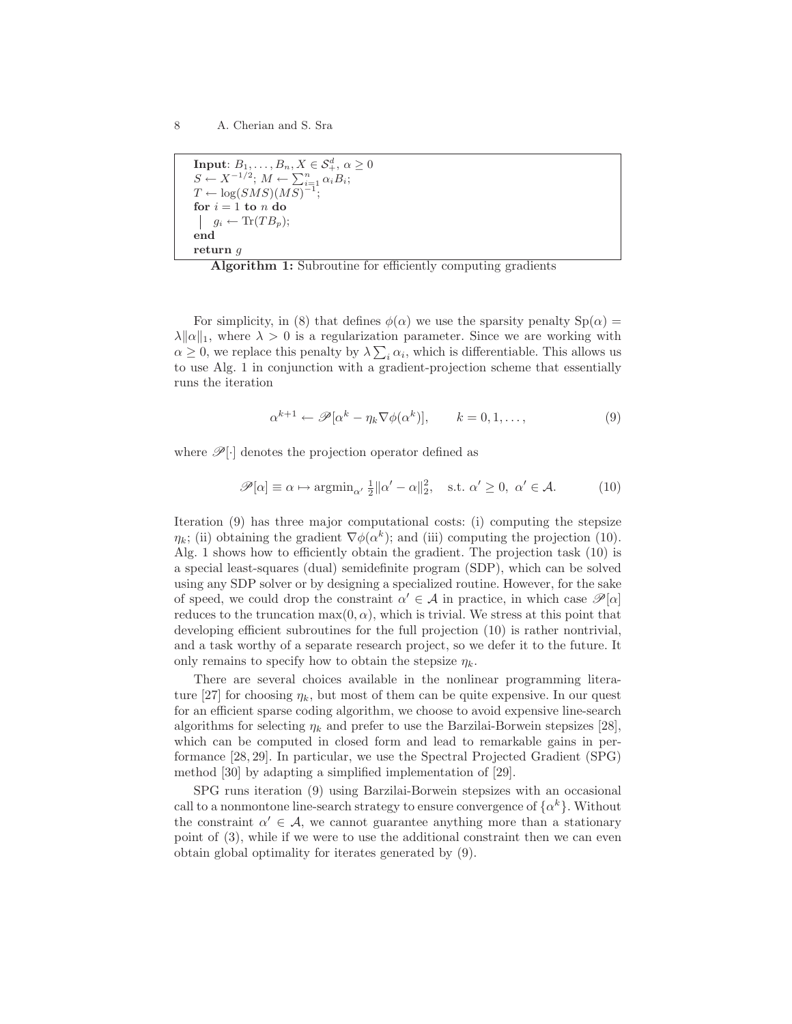```
\textbf{Input: } B_1, \ldots, B_n, X \in \mathcal{S}^d_+, \, \alpha \geq 0S \leftarrow X^{-1/2}; M \leftarrow \sum_{i=1}^{n} \alpha_i B_i;T \leftarrow \log(SMS)(M\overline{S})^{-1};for i = 1 to n do
 \vert \quad g_i \leftarrow \text{Tr}(TB_p);end
return g
```
Algorithm 1: Subroutine for efficiently computing gradients

For simplicity, in (8) that defines  $\phi(\alpha)$  we use the sparsity penalty  $Sp(\alpha)$  $\lambda \|\alpha\|_1$ , where  $\lambda > 0$  is a regularization parameter. Since we are working with  $\alpha \geq 0$ , we replace this penalty by  $\lambda \sum_i \alpha_i$ , which is differentiable. This allows us to use Alg. 1 in conjunction with a gradient-projection scheme that essentially runs the iteration

$$
\alpha^{k+1} \leftarrow \mathscr{P}[\alpha^k - \eta_k \nabla \phi(\alpha^k)], \qquad k = 0, 1, \dots,
$$
\n(9)

where  $\mathscr{P}[\cdot]$  denotes the projection operator defined as

$$
\mathscr{P}[\alpha] \equiv \alpha \mapsto \operatorname{argmin}_{\alpha'} \frac{1}{2} ||\alpha' - \alpha||_2^2, \quad \text{s.t. } \alpha' \ge 0, \ \alpha' \in \mathcal{A}.
$$
 (10)

Iteration (9) has three major computational costs: (i) computing the stepsize  $\eta_k$ ; (ii) obtaining the gradient  $\nabla \phi(\alpha^k)$ ; and (iii) computing the projection (10). Alg. 1 shows how to efficiently obtain the gradient. The projection task (10) is a special least-squares (dual) semidefinite program (SDP), which can be solved using any SDP solver or by designing a specialized routine. However, for the sake of speed, we could drop the constraint  $\alpha' \in \mathcal{A}$  in practice, in which case  $\mathscr{P}[\alpha]$ reduces to the truncation  $\max(0, \alpha)$ , which is trivial. We stress at this point that developing efficient subroutines for the full projection (10) is rather nontrivial, and a task worthy of a separate research project, so we defer it to the future. It only remains to specify how to obtain the stepsize  $\eta_k$ .

There are several choices available in the nonlinear programming literature [27] for choosing  $\eta_k$ , but most of them can be quite expensive. In our quest for an efficient sparse coding algorithm, we choose to avoid expensive line-search algorithms for selecting  $\eta_k$  and prefer to use the Barzilai-Borwein stepsizes [28], which can be computed in closed form and lead to remarkable gains in performance [28, 29]. In particular, we use the Spectral Projected Gradient (SPG) method [30] by adapting a simplified implementation of [29].

SPG runs iteration (9) using Barzilai-Borwein stepsizes with an occasional call to a nonmontone line-search strategy to ensure convergence of  $\{\alpha^k\}$ . Without the constraint  $\alpha' \in \mathcal{A}$ , we cannot guarantee anything more than a stationary point of (3), while if we were to use the additional constraint then we can even obtain global optimality for iterates generated by (9).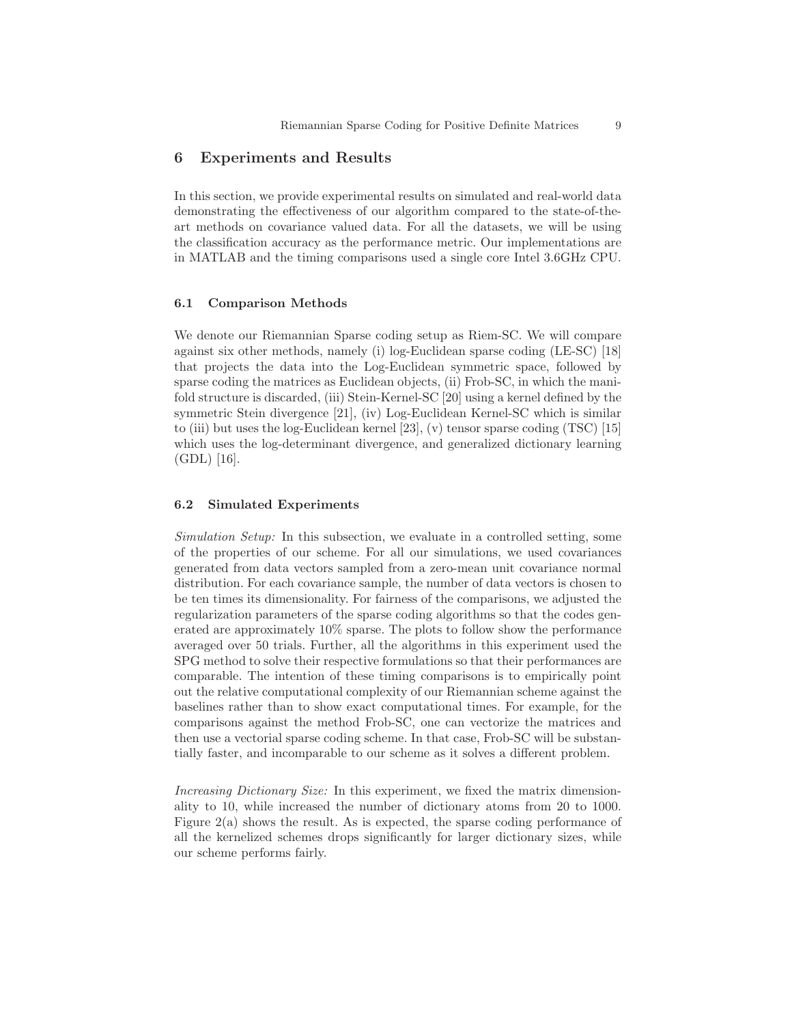## 6 Experiments and Results

In this section, we provide experimental results on simulated and real-world data demonstrating the effectiveness of our algorithm compared to the state-of-theart methods on covariance valued data. For all the datasets, we will be using the classification accuracy as the performance metric. Our implementations are in MATLAB and the timing comparisons used a single core Intel 3.6GHz CPU.

#### 6.1 Comparison Methods

We denote our Riemannian Sparse coding setup as Riem-SC. We will compare against six other methods, namely (i) log-Euclidean sparse coding (LE-SC) [18] that projects the data into the Log-Euclidean symmetric space, followed by sparse coding the matrices as Euclidean objects, (ii) Frob-SC, in which the manifold structure is discarded, (iii) Stein-Kernel-SC [20] using a kernel defined by the symmetric Stein divergence [21], (iv) Log-Euclidean Kernel-SC which is similar to (iii) but uses the log-Euclidean kernel [23], (v) tensor sparse coding (TSC) [15] which uses the log-determinant divergence, and generalized dictionary learning (GDL) [16].

#### 6.2 Simulated Experiments

*Simulation Setup:* In this subsection, we evaluate in a controlled setting, some of the properties of our scheme. For all our simulations, we used covariances generated from data vectors sampled from a zero-mean unit covariance normal distribution. For each covariance sample, the number of data vectors is chosen to be ten times its dimensionality. For fairness of the comparisons, we adjusted the regularization parameters of the sparse coding algorithms so that the codes generated are approximately 10% sparse. The plots to follow show the performance averaged over 50 trials. Further, all the algorithms in this experiment used the SPG method to solve their respective formulations so that their performances are comparable. The intention of these timing comparisons is to empirically point out the relative computational complexity of our Riemannian scheme against the baselines rather than to show exact computational times. For example, for the comparisons against the method Frob-SC, one can vectorize the matrices and then use a vectorial sparse coding scheme. In that case, Frob-SC will be substantially faster, and incomparable to our scheme as it solves a different problem.

*Increasing Dictionary Size:* In this experiment, we fixed the matrix dimensionality to 10, while increased the number of dictionary atoms from 20 to 1000. Figure 2(a) shows the result. As is expected, the sparse coding performance of all the kernelized schemes drops significantly for larger dictionary sizes, while our scheme performs fairly.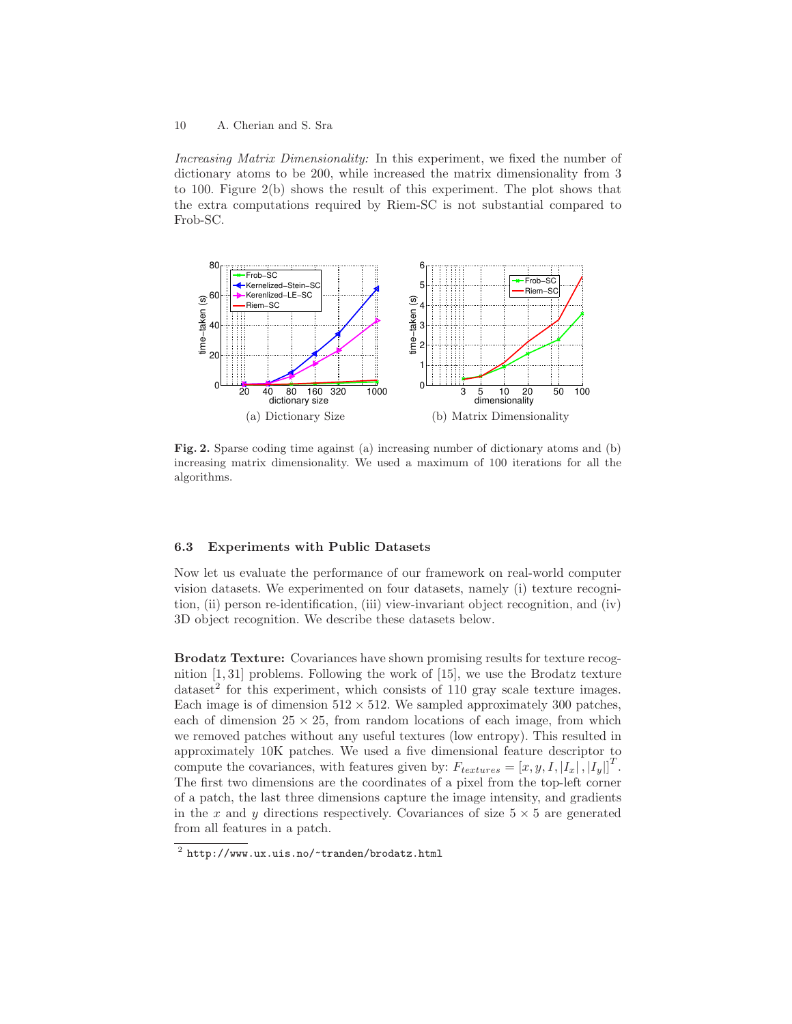*Increasing Matrix Dimensionality:* In this experiment, we fixed the number of dictionary atoms to be 200, while increased the matrix dimensionality from 3 to 100. Figure 2(b) shows the result of this experiment. The plot shows that the extra computations required by Riem-SC is not substantial compared to Frob-SC.



Fig. 2. Sparse coding time against (a) increasing number of dictionary atoms and (b) increasing matrix dimensionality. We used a maximum of 100 iterations for all the algorithms.

#### 6.3 Experiments with Public Datasets

Now let us evaluate the performance of our framework on real-world computer vision datasets. We experimented on four datasets, namely (i) texture recognition, (ii) person re-identification, (iii) view-invariant object recognition, and (iv) 3D object recognition. We describe these datasets below.

Brodatz Texture: Covariances have shown promising results for texture recognition [1, 31] problems. Following the work of [15], we use the Brodatz texture dataset<sup>2</sup> for this experiment, which consists of 110 gray scale texture images. Each image is of dimension  $512 \times 512$ . We sampled approximately 300 patches, each of dimension  $25 \times 25$ , from random locations of each image, from which we removed patches without any useful textures (low entropy). This resulted in approximately 10K patches. We used a five dimensional feature descriptor to compute the covariances, with features given by:  $F_{textures} = [x, y, I, |I_x|, |I_y|]^T$ . The first two dimensions are the coordinates of a pixel from the top-left corner of a patch, the last three dimensions capture the image intensity, and gradients in the x and y directions respectively. Covariances of size  $5 \times 5$  are generated from all features in a patch.

 $^2$  http://www.ux.uis.no/~tranden/brodatz.html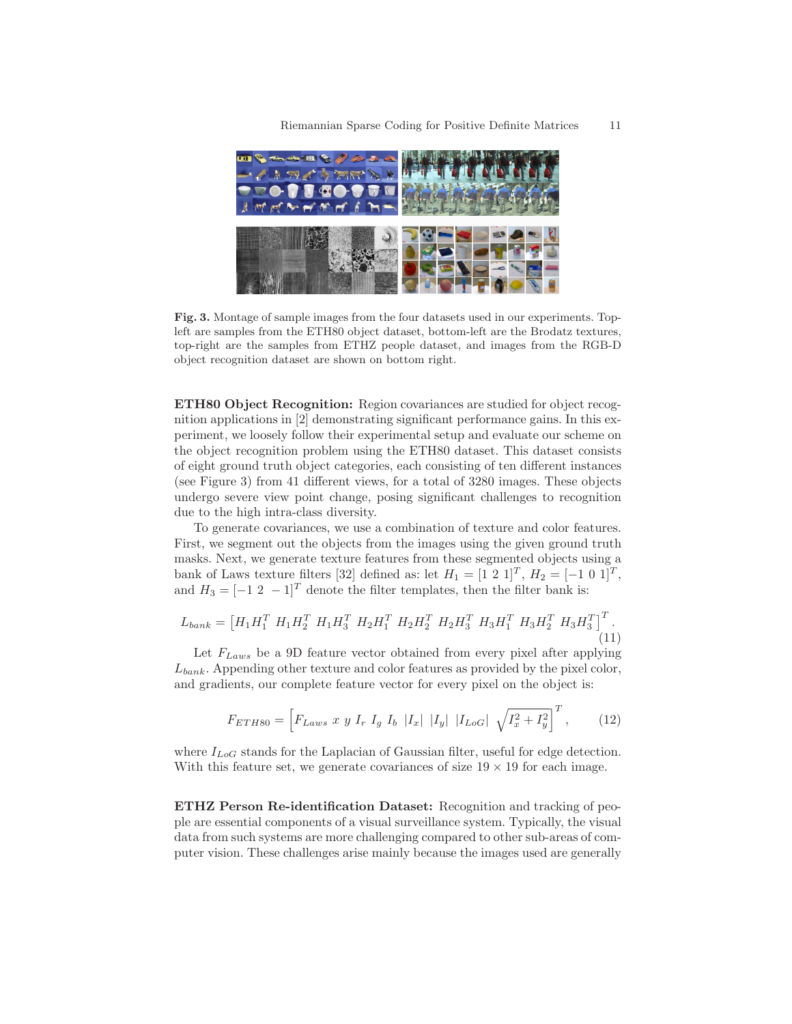

Fig. 3. Montage of sample images from the four datasets used in our experiments. Topleft are samples from the ETH80 object dataset, bottom-left are the Brodatz textures, top-right are the samples from ETHZ people dataset, and images from the RGB-D object recognition dataset are shown on bottom right.

ETH80 Object Recognition: Region covariances are studied for object recognition applications in [2] demonstrating significant performance gains. In this experiment, we loosely follow their experimental setup and evaluate our scheme on the object recognition problem using the ETH80 dataset. This dataset consists of eight ground truth object categories, each consisting of ten different instances (see Figure 3) from 41 different views, for a total of 3280 images. These objects undergo severe view point change, posing significant challenges to recognition due to the high intra-class diversity.

To generate covariances, we use a combination of texture and color features. First, we segment out the objects from the images using the given ground truth masks. Next, we generate texture features from these segmented objects using a bank of Laws texture filters [32] defined as: let  $H_1 = [1 \ 2 \ 1]^T$ ,  $H_2 = [-1 \ 0 \ 1]^T$ , and  $H_3 = \begin{bmatrix} -1 & 2 & -1 \end{bmatrix}^T$  denote the filter templates, then the filter bank is:

$$
L_{bank} = \left[ H_1 H_1^T H_1 H_2^T H_1 H_3^T H_2 H_1^T H_2 H_2^T H_2 H_3^T H_3 H_1^T H_3 H_2^T H_3 H_3^T \right]^T.
$$
\n(11)

Let  $F_{Laws}$  be a 9D feature vector obtained from every pixel after applying  $L_{bank}$ . Appending other texture and color features as provided by the pixel color, and gradients, our complete feature vector for every pixel on the object is:

$$
F_{ETH80} = \left[ F_{Laws} \; x \; y \; I_r \; I_g \; I_b \; |I_x| \; |I_y| \; |I_{LoG}| \; \sqrt{I_x^2 + I_y^2} \right]^T, \tag{12}
$$

where  $I_{LoG}$  stands for the Laplacian of Gaussian filter, useful for edge detection. With this feature set, we generate covariances of size  $19 \times 19$  for each image.

ETHZ Person Re-identification Dataset: Recognition and tracking of people are essential components of a visual surveillance system. Typically, the visual data from such systems are more challenging compared to other sub-areas of computer vision. These challenges arise mainly because the images used are generally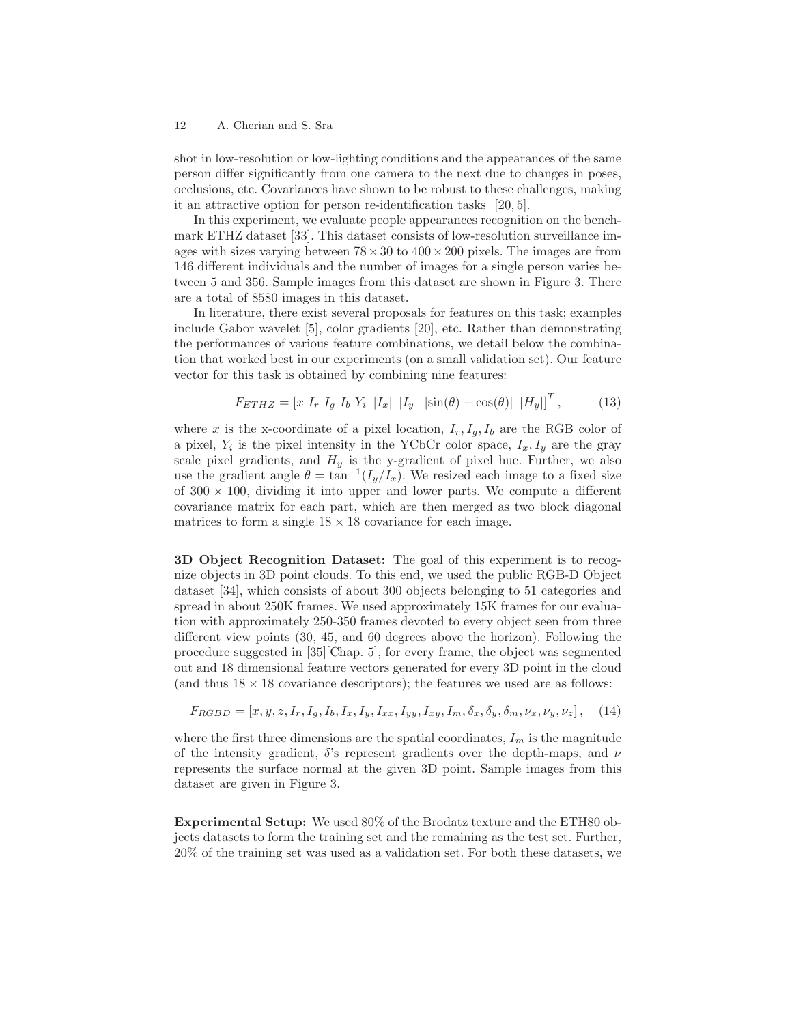shot in low-resolution or low-lighting conditions and the appearances of the same person differ significantly from one camera to the next due to changes in poses, occlusions, etc. Covariances have shown to be robust to these challenges, making it an attractive option for person re-identification tasks [20, 5].

In this experiment, we evaluate people appearances recognition on the benchmark ETHZ dataset [33]. This dataset consists of low-resolution surveillance images with sizes varying between  $78 \times 30$  to  $400 \times 200$  pixels. The images are from 146 different individuals and the number of images for a single person varies between 5 and 356. Sample images from this dataset are shown in Figure 3. There are a total of 8580 images in this dataset.

In literature, there exist several proposals for features on this task; examples include Gabor wavelet [5], color gradients [20], etc. Rather than demonstrating the performances of various feature combinations, we detail below the combination that worked best in our experiments (on a small validation set). Our feature vector for this task is obtained by combining nine features:

$$
F_{ETHZ} = [x I_r I_g I_b Y_i |I_x| |I_y| |\sin(\theta) + \cos(\theta)| |H_y|]^T, \quad (13)
$$

where x is the x-coordinate of a pixel location,  $I_r, I_g, I_b$  are the RGB color of a pixel,  $Y_i$  is the pixel intensity in the YCbCr color space,  $I_x, I_y$  are the gray scale pixel gradients, and  $H_y$  is the y-gradient of pixel hue. Further, we also use the gradient angle  $\theta = \tan^{-1}(I_y/I_x)$ . We resized each image to a fixed size of  $300 \times 100$ , dividing it into upper and lower parts. We compute a different covariance matrix for each part, which are then merged as two block diagonal matrices to form a single  $18 \times 18$  covariance for each image.

3D Object Recognition Dataset: The goal of this experiment is to recognize objects in 3D point clouds. To this end, we used the public RGB-D Object dataset [34], which consists of about 300 objects belonging to 51 categories and spread in about 250K frames. We used approximately 15K frames for our evaluation with approximately 250-350 frames devoted to every object seen from three different view points (30, 45, and 60 degrees above the horizon). Following the procedure suggested in [35][Chap. 5], for every frame, the object was segmented out and 18 dimensional feature vectors generated for every 3D point in the cloud (and thus  $18 \times 18$  covariance descriptors); the features we used are as follows:

$$
F_{RGBD} = [x, y, z, I_r, I_g, I_b, I_x, I_y, I_{xx}, I_{yy}, I_{xy}, I_m, \delta_x, \delta_y, \delta_m, \nu_x, \nu_y, \nu_z], \quad (14)
$$

where the first three dimensions are the spatial coordinates,  $I_m$  is the magnitude of the intensity gradient,  $\delta$ 's represent gradients over the depth-maps, and  $\nu$ represents the surface normal at the given 3D point. Sample images from this dataset are given in Figure 3.

Experimental Setup: We used 80% of the Brodatz texture and the ETH80 objects datasets to form the training set and the remaining as the test set. Further, 20% of the training set was used as a validation set. For both these datasets, we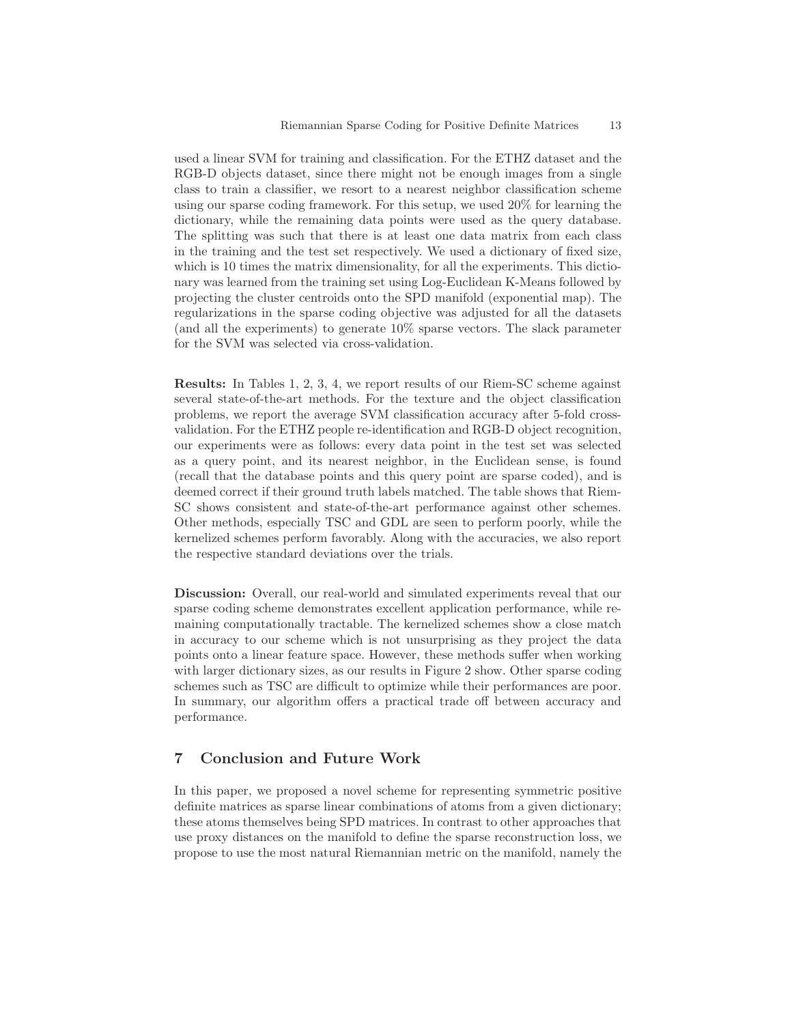used a linear SVM for training and classification. For the ETHZ dataset and the RGB-D objects dataset, since there might not be enough images from a single class to train a classifier, we resort to a nearest neighbor classification scheme using our sparse coding framework. For this setup, we used 20% for learning the dictionary, while the remaining data points were used as the query database. The splitting was such that there is at least one data matrix from each class in the training and the test set respectively. We used a dictionary of fixed size, which is 10 times the matrix dimensionality, for all the experiments. This dictionary was learned from the training set using Log-Euclidean K-Means followed by projecting the cluster centroids onto the SPD manifold (exponential map). The regularizations in the sparse coding objective was adjusted for all the datasets (and all the experiments) to generate 10% sparse vectors. The slack parameter for the SVM was selected via cross-validation.

Results: In Tables 1, 2, 3, 4, we report results of our Riem-SC scheme against several state-of-the-art methods. For the texture and the object classification problems, we report the average SVM classification accuracy after 5-fold crossvalidation. For the ETHZ people re-identification and RGB-D object recognition, our experiments were as follows: every data point in the test set was selected as a query point, and its nearest neighbor, in the Euclidean sense, is found (recall that the database points and this query point are sparse coded), and is deemed correct if their ground truth labels matched. The table shows that Riem-SC shows consistent and state-of-the-art performance against other schemes. Other methods, especially TSC and GDL are seen to perform poorly, while the kernelized schemes perform favorably. Along with the accuracies, we also report the respective standard deviations over the trials.

Discussion: Overall, our real-world and simulated experiments reveal that our sparse coding scheme demonstrates excellent application performance, while remaining computationally tractable. The kernelized schemes show a close match in accuracy to our scheme which is not unsurprising as they project the data points onto a linear feature space. However, these methods suffer when working with larger dictionary sizes, as our results in Figure 2 show. Other sparse coding schemes such as TSC are difficult to optimize while their performances are poor. In summary, our algorithm offers a practical trade off between accuracy and performance.

# 7 Conclusion and Future Work

In this paper, we proposed a novel scheme for representing symmetric positive definite matrices as sparse linear combinations of atoms from a given dictionary; these atoms themselves being SPD matrices. In contrast to other approaches that use proxy distances on the manifold to define the sparse reconstruction loss, we propose to use the most natural Riemannian metric on the manifold, namely the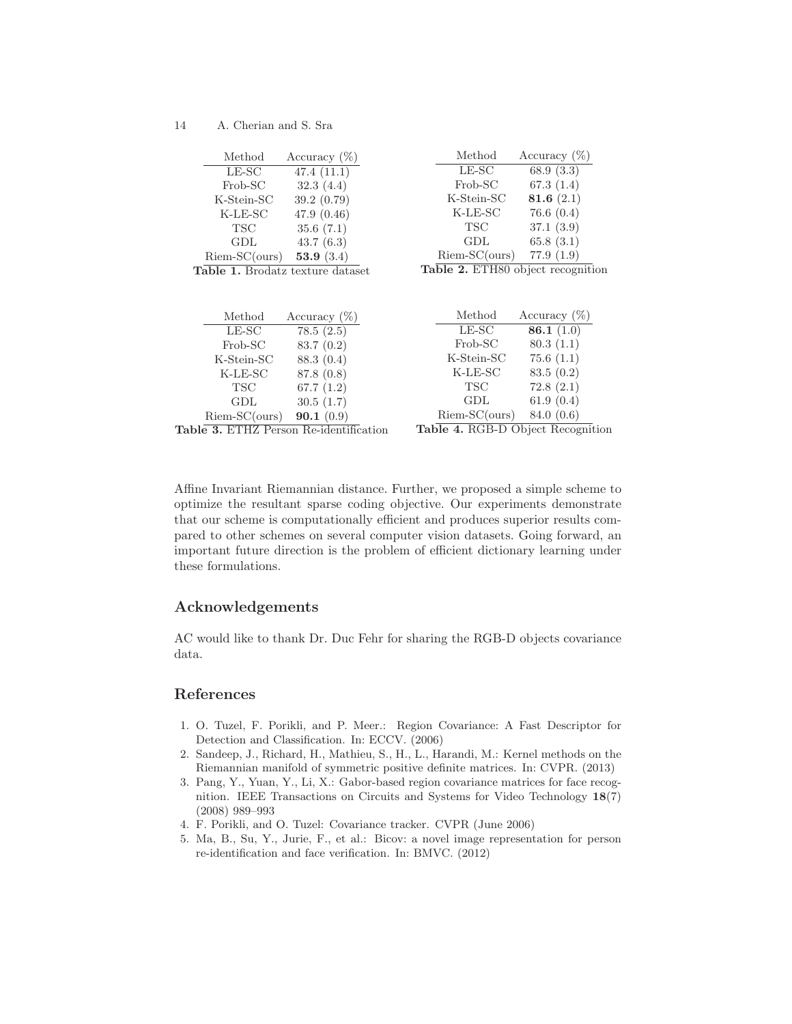14 A. Cherian and S. Sra

| Accuracy $(\%)$<br>Method        | Method          | Accuracy $(\%)$                   |
|----------------------------------|-----------------|-----------------------------------|
| 47.4(11.1)<br>$LE-SC$            | $LE-SC$         | 68.9(3.3)                         |
| 32.3(4.4)<br>Frob-SC             | Frob-SC         | 67.3 $(1.4)$                      |
| 39.2(0.79)<br>K-Stein-SC         | K-Stein-SC      | 81.6 $(2.1)$                      |
| 47.9(0.46)<br>$K$ -LE-SC         | $K$ -LE-SC      | 76.6(0.4)                         |
| <b>TSC</b><br>35.6(7.1)          | <b>TSC</b>      | 37.1(3.9)                         |
| 43.7(6.3)<br>GDL.                | GDL             | 65.8(3.1)                         |
| 53.9 $(3.4)$<br>$Riem-SC(ours)$  | $Riem-SC(ours)$ | 77.9(1.9)                         |
| Table 1. Brodatz texture dataset |                 | Table 2. ETH80 object recognition |
|                                  |                 |                                   |
| Method<br>Accuracy $(\%)$        | Method          | Accuracy $(\%)$                   |
| 78.5(2.5)<br>LE-SC               | $LE-SC$         | 86.1 $(1.0)$                      |

| $LE-SC$         | 78.5(2.5)           |
|-----------------|---------------------|
| Frob-SC         | 83.7(0.2)           |
| K-Stein-SC      | 88.3 (0.4)          |
| $K$ -LE-SC      | 87.8 (0.8)          |
| TSC             | 67.7 $(1.2)$        |
| GDL             | 30.5(1.7)           |
| $Riem-SC(ours)$ | <b>90.1</b> $(0.9)$ |
|                 |                     |

| Method        | Accuracy $(\%)$ |
|---------------|-----------------|
| LE-SC         | 86.1 $(1.0)$    |
| Frob-SC       | 80.3(1.1)       |
| K-Stein-SC    | 75.6(1.1)       |
| $K$ -LE-SC    | 83.5(0.2)       |
| <b>TSC</b>    | 72.8(2.1)       |
| GDL           | 61.9 $(0.4)$    |
| Riem-SC(ours) | 84.0 (0.6)      |

Table 3. ETHZ Person Re-identification

Table 4. RGB-D Object Recognition

Affine Invariant Riemannian distance. Further, we proposed a simple scheme to optimize the resultant sparse coding objective. Our experiments demonstrate that our scheme is computationally efficient and produces superior results compared to other schemes on several computer vision datasets. Going forward, an important future direction is the problem of efficient dictionary learning under these formulations.

# Acknowledgements

AC would like to thank Dr. Duc Fehr for sharing the RGB-D objects covariance data.

#### References

- 1. O. Tuzel, F. Porikli, and P. Meer.: Region Covariance: A Fast Descriptor for Detection and Classification. In: ECCV. (2006)
- 2. Sandeep, J., Richard, H., Mathieu, S., H., L., Harandi, M.: Kernel methods on the Riemannian manifold of symmetric positive definite matrices. In: CVPR. (2013)
- 3. Pang, Y., Yuan, Y., Li, X.: Gabor-based region covariance matrices for face recognition. IEEE Transactions on Circuits and Systems for Video Technology 18(7) (2008) 989–993
- 4. F. Porikli, and O. Tuzel: Covariance tracker. CVPR (June 2006)
- 5. Ma, B., Su, Y., Jurie, F., et al.: Bicov: a novel image representation for person re-identification and face verification. In: BMVC. (2012)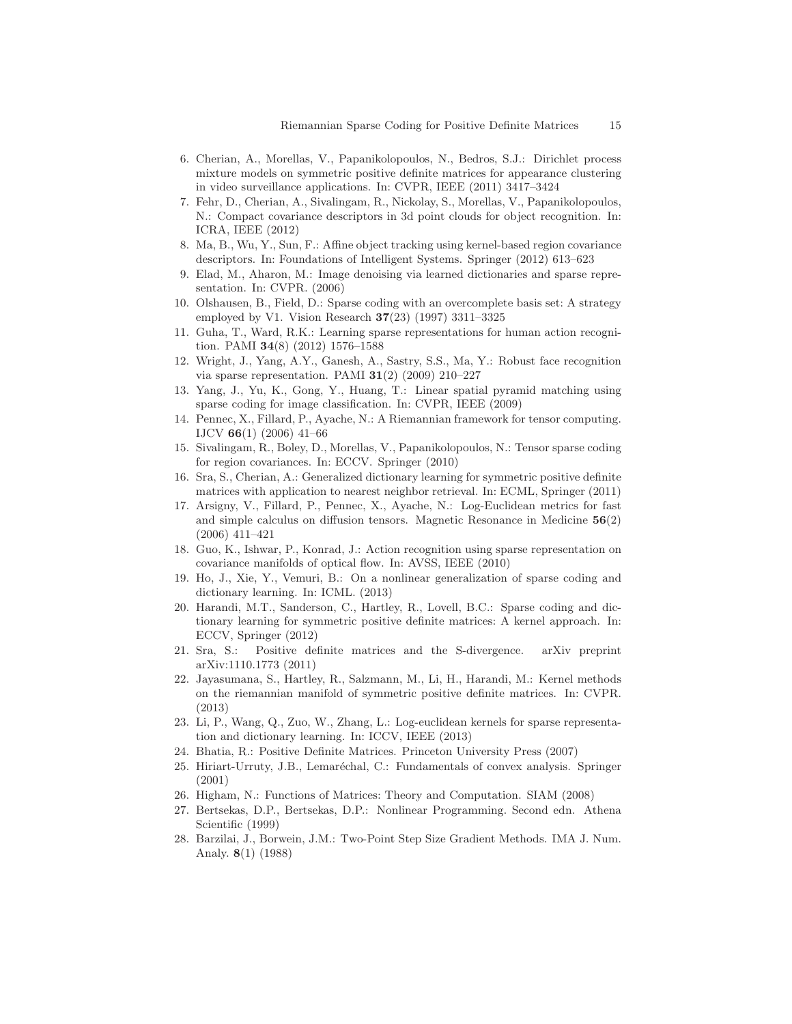- 6. Cherian, A., Morellas, V., Papanikolopoulos, N., Bedros, S.J.: Dirichlet process mixture models on symmetric positive definite matrices for appearance clustering in video surveillance applications. In: CVPR, IEEE (2011) 3417–3424
- 7. Fehr, D., Cherian, A., Sivalingam, R., Nickolay, S., Morellas, V., Papanikolopoulos, N.: Compact covariance descriptors in 3d point clouds for object recognition. In: ICRA, IEEE (2012)
- 8. Ma, B., Wu, Y., Sun, F.: Affine object tracking using kernel-based region covariance descriptors. In: Foundations of Intelligent Systems. Springer (2012) 613–623
- 9. Elad, M., Aharon, M.: Image denoising via learned dictionaries and sparse representation. In: CVPR. (2006)
- 10. Olshausen, B., Field, D.: Sparse coding with an overcomplete basis set: A strategy employed by V1. Vision Research 37(23) (1997) 3311–3325
- 11. Guha, T., Ward, R.K.: Learning sparse representations for human action recognition. PAMI 34(8) (2012) 1576–1588
- 12. Wright, J., Yang, A.Y., Ganesh, A., Sastry, S.S., Ma, Y.: Robust face recognition via sparse representation. PAMI  $31(2)$  (2009) 210–227
- 13. Yang, J., Yu, K., Gong, Y., Huang, T.: Linear spatial pyramid matching using sparse coding for image classification. In: CVPR, IEEE (2009)
- 14. Pennec, X., Fillard, P., Ayache, N.: A Riemannian framework for tensor computing. IJCV 66(1) (2006) 41–66
- 15. Sivalingam, R., Boley, D., Morellas, V., Papanikolopoulos, N.: Tensor sparse coding for region covariances. In: ECCV. Springer (2010)
- 16. Sra, S., Cherian, A.: Generalized dictionary learning for symmetric positive definite matrices with application to nearest neighbor retrieval. In: ECML, Springer (2011)
- 17. Arsigny, V., Fillard, P., Pennec, X., Ayache, N.: Log-Euclidean metrics for fast and simple calculus on diffusion tensors. Magnetic Resonance in Medicine 56(2) (2006) 411–421
- 18. Guo, K., Ishwar, P., Konrad, J.: Action recognition using sparse representation on covariance manifolds of optical flow. In: AVSS, IEEE (2010)
- 19. Ho, J., Xie, Y., Vemuri, B.: On a nonlinear generalization of sparse coding and dictionary learning. In: ICML. (2013)
- 20. Harandi, M.T., Sanderson, C., Hartley, R., Lovell, B.C.: Sparse coding and dictionary learning for symmetric positive definite matrices: A kernel approach. In: ECCV, Springer (2012)
- 21. Sra, S.: Positive definite matrices and the S-divergence. arXiv preprint arXiv:1110.1773 (2011)
- 22. Jayasumana, S., Hartley, R., Salzmann, M., Li, H., Harandi, M.: Kernel methods on the riemannian manifold of symmetric positive definite matrices. In: CVPR. (2013)
- 23. Li, P., Wang, Q., Zuo, W., Zhang, L.: Log-euclidean kernels for sparse representation and dictionary learning. In: ICCV, IEEE (2013)
- 24. Bhatia, R.: Positive Definite Matrices. Princeton University Press (2007)
- 25. Hiriart-Urruty, J.B., Lemaréchal, C.: Fundamentals of convex analysis. Springer (2001)
- 26. Higham, N.: Functions of Matrices: Theory and Computation. SIAM (2008)
- 27. Bertsekas, D.P., Bertsekas, D.P.: Nonlinear Programming. Second edn. Athena Scientific (1999)
- 28. Barzilai, J., Borwein, J.M.: Two-Point Step Size Gradient Methods. IMA J. Num. Analy. 8(1) (1988)